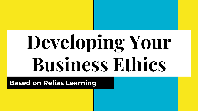# **Developing Your Business Ethics**

**Based on Relias Learning**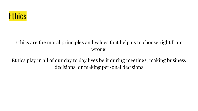

#### Ethics are the moral principles and values that help us to choose right from wrong.

Ethics play in all of our day to day lives be it during meetings, making business decisions, or making personal decisions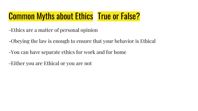#### Common Myths about Ethics True or False?

- -Ethics are a matter of personal opinion
- -Obeying the law is enough to ensure that your behavior is Ethical
- -You can have separate ethics for work and for home
- -Either you are Ethical or you are not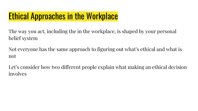#### Ethical Approaches in the Workplace

The way you act, including the in the workplace, is shaped by your personal belief system

Not everyone has the same approach to figuring out what's ethical and what is not

Let's consider how two different people explain what making an ethical decision involves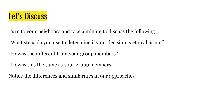

Turn to your neighbors and take a minute to discuss the following:

- -What steps do you use to determine if your decision is ethical or not?
- -How is the different from your group members?
- -How is this the same as your group members?
- Notice the differences and similarities in our approaches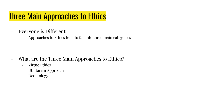#### Three Main Approaches to Ethics

- Everyone is Different
	- Approaches to Ethics tend to fall into three main categories

- What are the Three Main Approaches to Ethics?
	- Virtue Ethics
	- Utilitarian Approach
	- Deontology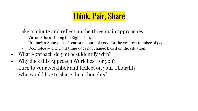# Think, Pair, Share

- Take a minute and reflect on the three main approaches
	- Virtue Ethics- Doing the Right Thing
	- Utilitarian Approach- Greatest amount of good for the greatest number of people
	- Deontology- The right thing does not change based on the situation
- What Approach do you best identify with?
- Why does this Approach Work best for you?
- Turn to your Neighbor and Reflect on your Thoughts
- Who would like to share their thoughts?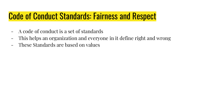#### Code of Conduct Standards: Fairness and Respect

- A code of conduct is a set of standards
- This helps an organization and everyone in it define right and wrong
- These Standards are based on values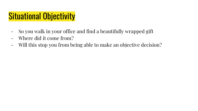#### Situational Objectivity

- So you walk in your office and find a beautifully wrapped gift
- Where did it come from?
- Will this stop you from being able to make an objective decision?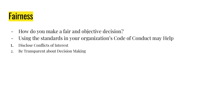

- How do you make a fair and objective decision?
- Using the standards in your organization's Code of Conduct may Help
- 1. Disclose Conflicts of Interest
- 2. Be Transparent about Decision Making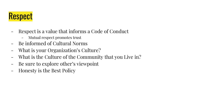# Respect

- Respect is a value that informs a Code of Conduct
	- Mutual respect promotes trust
- Be informed of Cultural Norms
- What is your Organization's Culture?
- What is the Culture of the Community that you Live in?
- Be sure to explore other's viewpoint
- Honesty is the Best Policy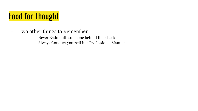# Food for Thought

- Two other things to Remember
	- Never Badmouth someone behind their back
	- Always Conduct yourself in a Professional Manner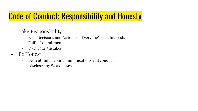#### Code of Conduct: Responsibility and Honesty

- Take Responsibility
	- Base Decisions and Actions on Everyone's best Interests
	- Fulfill Commitments
	- Own your Mistakes
- Be Honest
	- Be Truthful in your communications and conduct
	- Disclose any Weaknesses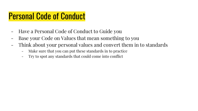#### Personal Code of Conduct

- Have a Personal Code of Conduct to Guide you
- Base your Code on Values that mean something to you
- Think about your personal values and convert them in to standards
	- Make sure that you can put these standards in to practice
	- Try to spot any standards that could come into conflict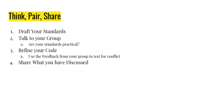## Think, Pair, Share

- 1. Draft Your Standards
- 2. Talk to your Group
	- a. Are your standards practical?
- 3. Refine your Code
	- a. Use the Feedback from your group to test for conflict
- 4. Share What you have Discussed